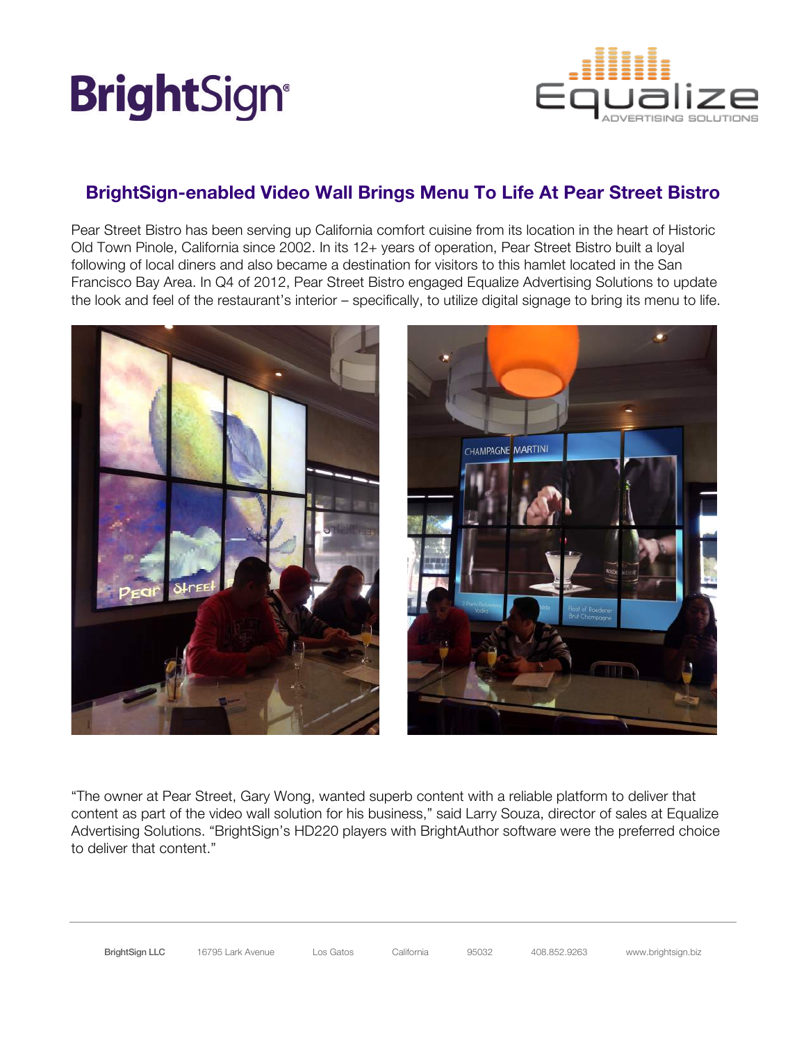## **BrightSign®**



### **BrightSign-enabled Video Wall Brings Menu To Life At Pear Street Bistro**

Pear Street Bistro has been serving up California comfort cuisine from its location in the heart of Historic Old Town Pinole, California since 2002. In its 12+ years of operation, Pear Street Bistro built a loyal following of local diners and also became a destination for visitors to this hamlet located in the San Francisco Bay Area. In Q4 of 2012, Pear Street Bistro engaged Equalize Advertising Solutions to update the look and feel of the restaurant's interior – specifically, to utilize digital signage to bring its menu to life.



"The owner at Pear Street, Gary Wong, wanted superb content with a reliable platform to deliver that content as part of the video wall solution for his business," said Larry Souza, director of sales at Equalize Advertising Solutions. "BrightSign's HD220 players with BrightAuthor software were the preferred choice to deliver that content."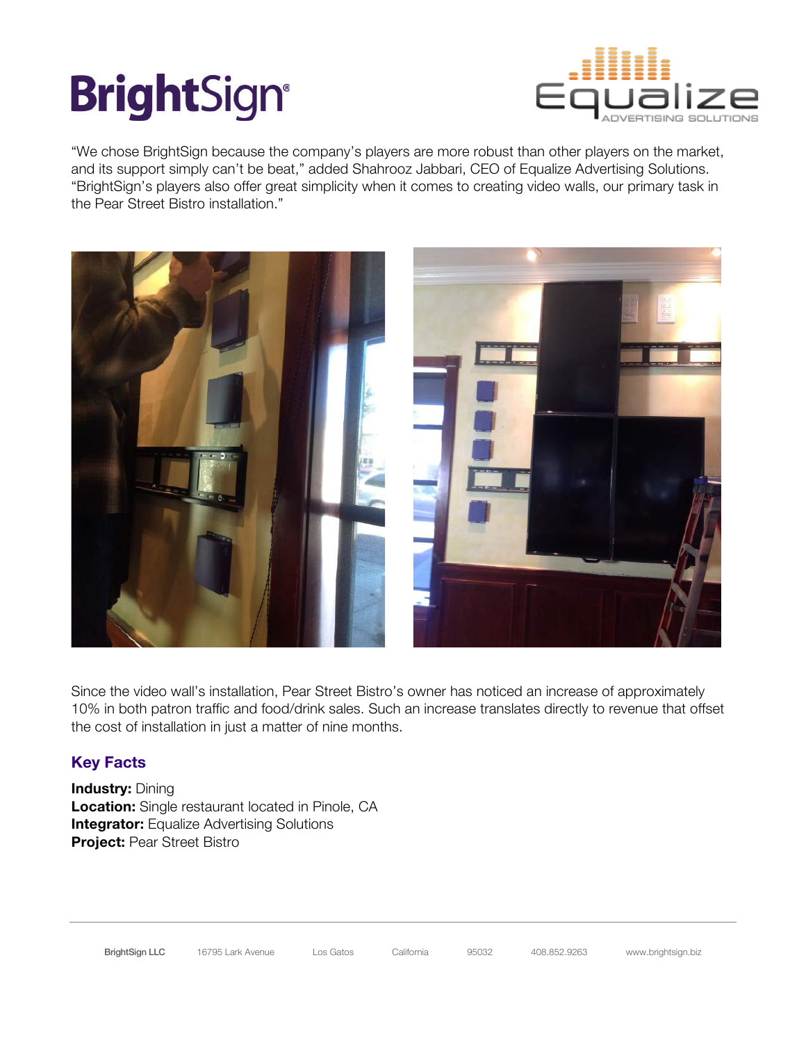# **BrightSign®**



"We chose BrightSign because the company's players are more robust than other players on the market, and its support simply can't be beat," added Shahrooz Jabbari, CEO of Equalize Advertising Solutions. "BrightSign's players also offer great simplicity when it comes to creating video walls, our primary task in the Pear Street Bistro installation."



Since the video wall's installation, Pear Street Bistro's owner has noticed an increase of approximately 10% in both patron traffic and food/drink sales. Such an increase translates directly to revenue that offset the cost of installation in just a matter of nine months.

### **Key Facts**

**Industry: Dining Location:** Single restaurant located in Pinole, CA **Integrator:** Equalize Advertising Solutions **Project:** Pear Street Bistro